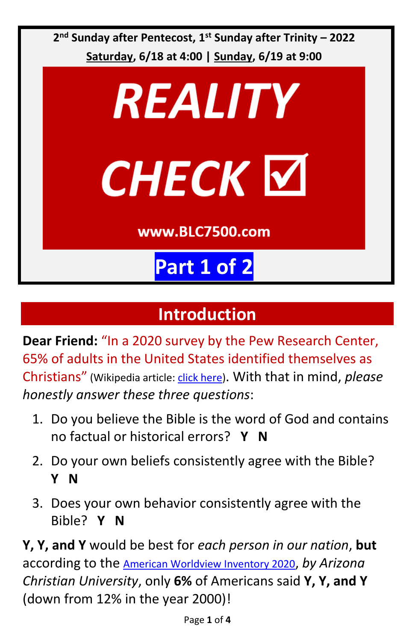

## **Introduction**

**Dear Friend:** "In a 2020 survey by the Pew Research Center, 65% of adults in the United States identified themselves as Christians" (Wikipedia article[: click here\)](https://en.wikipedia.org/wiki/Christianity_in_the_United_States#:~:text=The%20Public%20Religion%20Research%20Institute,States%20identified%20themselves%20as%20Christians.). With that in mind, *please honestly answer these three questions*:

- 1. Do you believe the Bible is the word of God and contains no factual or historical errors? **Y N**
- 2. Do your own beliefs consistently agree with the Bible? **Y N**
- 3. Does your own behavior consistently agree with the Bible? **Y N**

**Y, Y, and Y** would be best for *each person in our nation*, **but** according to the American Worldview Inventory 2020, *by Arizona Christian University*, only **6%** of Americans said **Y, Y, and Y** (down from 12% in the year 2000)!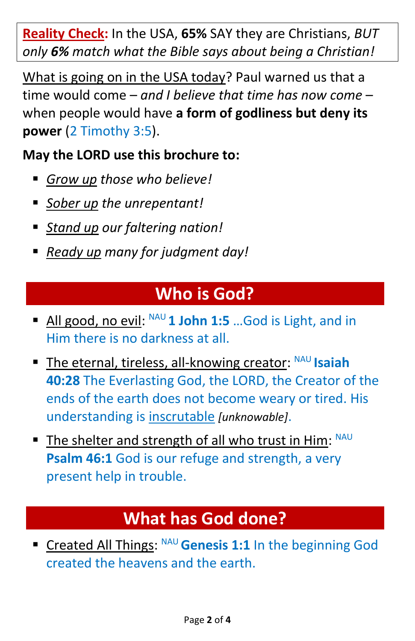**Reality Check:** In the USA, **65%** SAY they are Christians, *BUT only 6% match what the Bible says about being a Christian!*

What is going on in the USA today? Paul warned us that a time would come – *and I believe that time has now come* – when people would have **a form of godliness but deny its power** (2 Timothy 3:5).

#### **May the LORD use this brochure to:**

- *Grow up those who believe!*
- *Sober up the unrepentant!*
- *Stand up* our faltering nation!
- *Ready up many for judgment day!*

## **Who is God?**

- All good, no evil: <sup>NAU</sup> 1 John 1:5 ... God is Light, and in Him there is no darkness at all.
- **The eternal, tireless, all-knowing creator: NAU Isaiah 40:28** The Everlasting God, the LORD, the Creator of the ends of the earth does not become weary or tired. His understanding is inscrutable *[unknowable]*.
- The shelter and strength of all who trust in Him: NAU **Psalm 46:1** God is our refuge and strength, a very present help in trouble.

# **What has God done?**

**Example 2 In the Senesis 1:1** In the beginning God created the heavens and the earth.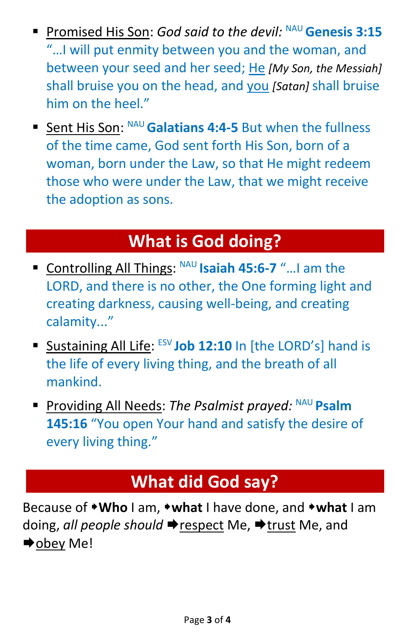- Promised His Son: *God said to the devil:* <sup>NAU</sup> Genesis 3:15 "…I will put enmity between you and the woman, and between your seed and her seed; He *[My Son, the Messiah]* shall bruise you on the head, and you *[Satan]* shall bruise him on the heel."
- Sent His Son: NAU Galatians 4:4-5 But when the fullness of the time came, God sent forth His Son, born of a woman, born under the Law, so that He might redeem those who were under the Law, that we might receive the adoption as sons.

### **What is God doing?**

- Controlling All Things: <sup>NAU</sup> Isaiah 45:6-7 "... I am the LORD, and there is no other, the One forming light and creating darkness, causing well-being, and creating calamity..."
- **E** Sustaining All Life: ESV Job 12:10 In [the LORD's] hand is the life of every living thing, and the breath of all mankind.
- Providing All Needs: The Psalmist prayed: NAU Psalm **145:16** "You open Your hand and satisfy the desire of every living thing."

### **What did God say?**

Because of **Who** I am, **what** I have done, and **what** I am doing, *all people should* → respect Me, → trust Me, and **→**obey Me!